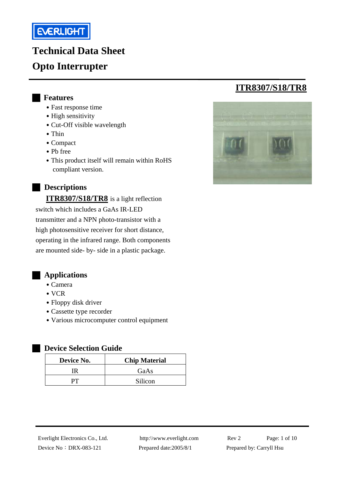

# **Technical Data Sheet Opto Interrupter**

#### █ **Features**

- Fast response time
- High sensitivity
- Cut-Off visible wavelength
- Thin
- ․Compact
- ․Pb free
- This product itself will remain within RoHS compliant version.

#### █ **Descriptions**

**ITR8307/S18/TR8** is a light reflection switch which includes a GaAs IR-LED transmitter and a NPN photo-transistor with a high photosensitive receiver for short distance, operating in the infrared range. Both components are mounted side- by- side in a plastic package.



- ․Camera
- VCR
- Floppy disk driver
- Cassette type recorder
- ․Various microcomputer control equipment

#### █ **Device Selection Guide**

| Device No. | <b>Chip Material</b> |  |  |  |
|------------|----------------------|--|--|--|
| ΓR         | GaAs                 |  |  |  |
|            | Silicon              |  |  |  |

# **ITR8307/S18/TR8**



Device No: DRX-083-121 Prepared date:2005/8/1 Prepared by: Carryll Hsu

Everlight Electronics Co., Ltd. http:\\www.everlight.com Rev 2 Page: 1 of 10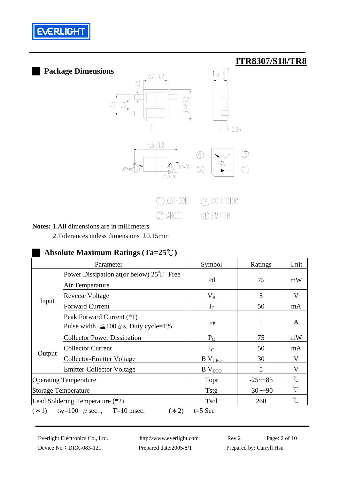



#### **Notes:** 1.All dimensions are in millimeters

2.Tolerances unless dimensions ±0.15mm

#### █ **Absolute Maximum Ratings (Ta=25**℃**)**

|                                                                     | Parameter                                                                | Symbol             | Ratings               | Unit                 |
|---------------------------------------------------------------------|--------------------------------------------------------------------------|--------------------|-----------------------|----------------------|
| Input                                                               | Power Dissipation at (or below) $25^{\circ}$ Free<br>Air Temperature     | Pd                 | 75                    | mW                   |
|                                                                     | <b>Reverse Voltage</b>                                                   | $V_{R}$            | 5                     | V                    |
|                                                                     | <b>Forward Current</b>                                                   | $I_{\rm F}$        | 50                    | mA                   |
|                                                                     | Peak Forward Current (*1)<br>Pulse width $\leq 100 \mu$ s, Duty cycle=1% | $I_{\rm FP}$       | $\mathbf{1}$          | A                    |
| Output                                                              | <b>Collector Power Dissipation</b>                                       | $P_{C}$            | 75                    | mW                   |
|                                                                     | <b>Collector Current</b>                                                 | $I_{\rm C}$        | 50                    | mA                   |
|                                                                     | <b>Collector-Emitter Voltage</b>                                         | B V <sub>CEO</sub> | 30                    | V                    |
|                                                                     | <b>Emitter-Collector Voltage</b>                                         | $B$ $V_{ECO}$      | 5                     | V                    |
| <b>Operating Temperature</b>                                        |                                                                          | Topr               | $-25 \rightarrow +85$ | $\mathrm{C}^{\circ}$ |
| Storage Temperature                                                 |                                                                          | <b>Tstg</b>        | $-30$ ~+90            | $\mathrm{C}^{\circ}$ |
| Lead Soldering Temperature (*2)                                     |                                                                          | Tsol               | 260                   | $\mathrm{C}^{\circ}$ |
| $T=10$ msec.<br>$t=5$ Sec<br>$(*1)$<br>tw=100 $\mu$ sec.,<br>$(*2)$ |                                                                          |                    |                       |                      |

Everlight Electronics Co., Ltd. http:\\www.everlight.com Rev 2 Page: 2 of 10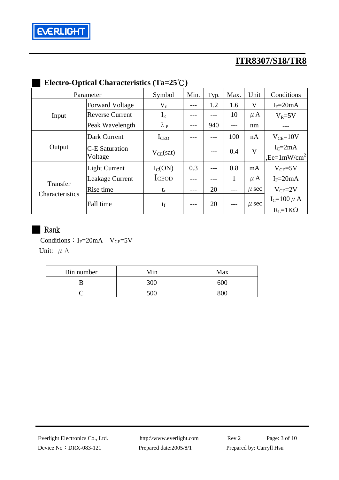

# █ **Electro-Optical Characteristics (Ta=25**℃**)**

| Parameter                   |                        | Symbol            | Min. | Typ. | Max.  | Unit      | Conditions              |
|-----------------------------|------------------------|-------------------|------|------|-------|-----------|-------------------------|
|                             | <b>Forward Voltage</b> | $\rm V_F$         |      | 1.2  | 1.6   | $\rm V$   | $I_F = 20mA$            |
| Input                       | <b>Reverse Current</b> | $I_{R}$           |      |      | 10    | $\mu$ A   | $V_R = 5V$              |
|                             | Peak Wavelength        | $\lambda_{\rm P}$ |      | 940  | ---   | nm        |                         |
|                             | Dark Current           | I <sub>CEO</sub>  |      |      | 100   | nA        | $V_{CE}=10V$            |
| Output                      | C-E Saturation         | $V_{CE}(sat)$     |      |      | 0.4   | V         | $I_{C} = 2mA$           |
|                             | Voltage                |                   |      |      |       |           | ,Ee= $1 \text{mW/cm}^2$ |
|                             | <b>Light Current</b>   | $I_{C}(ON)$       | 0.3  |      | 0.8   | mA        | $V_{CE} = 5V$           |
|                             | Leakage Current        | <b>ICEOD</b>      |      |      | 1     | $\mu$ A   | $I_F = 20mA$            |
| Transfer<br>Characteristics | Rise time              | $t_{r}$           |      | 20   | $---$ | $\mu$ sec | $V_{CE} = 2V$           |
|                             | Fall time              | $t_f$             | ---  | 20   |       | $\mu$ sec | $I_C=100 \mu A$         |
|                             |                        |                   |      |      |       |           | $R_I = 1K\Omega$        |

### **Rank**

Conditions:  $I_F=20mA$   $V_{CE}=5V$ Unit:  $\mu$  A

| Bin number | Min | Max |  |  |
|------------|-----|-----|--|--|
|            | 30C | 600 |  |  |
|            | 50٢ |     |  |  |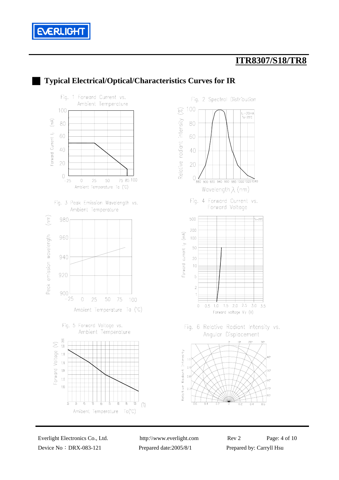



# █ **Typical Electrical/Optical/Characteristics Curves for IR**

Device No: DRX-083-121 Prepared date:2005/8/1 Prepared by: Carryll Hsu

Everlight Electronics Co., Ltd. http:\\www.everlight.com Rev 2 Page: 4 of 10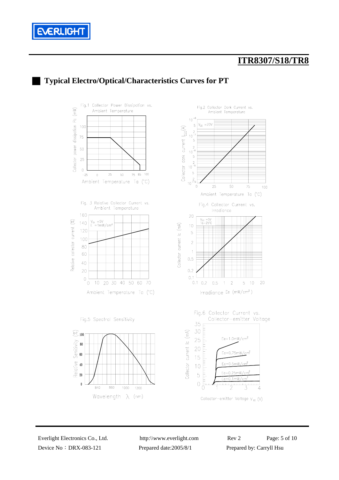



### █ **Typical Electro/Optical/Characteristics Curves for PT**

Collector-emitter Voltage  $V_{CE}$  (V)

Device No: DRX-083-121 Prepared date:2005/8/1 Prepared by: Carryll Hsu

Everlight Electronics Co., Ltd. http:\\www.everlight.com Rev 2 Page: 5 of 10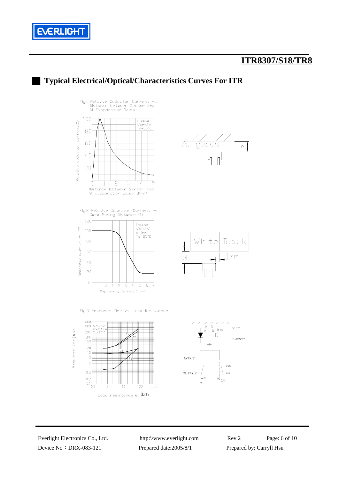



Device No: DRX-083-121 Prepared date:2005/8/1 Prepared by: Carryll Hsu

Load resistance  $R_L$   $(k\Omega)$ 

Everlight Electronics Co., Ltd. http:\\www.everlight.com Rev 2 Page: 6 of 10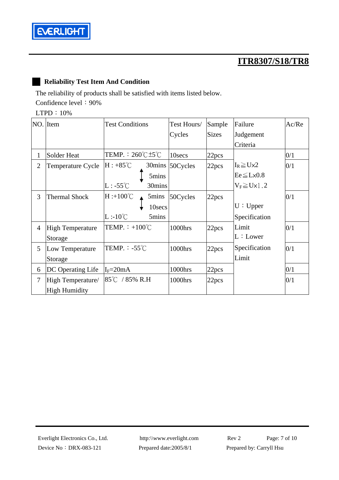

#### █ **Reliability Test Item And Condition**

The reliability of products shall be satisfied with items listed below. Confidence level: 90%

LTPD:10%

|                 | NO. Item                | <b>Test Conditions</b>                    | Test Hours/ | Sample       | Failure                | Ac/Re |
|-----------------|-------------------------|-------------------------------------------|-------------|--------------|------------------------|-------|
|                 |                         |                                           | Cycles      | <b>Sizes</b> | Judgement              |       |
|                 |                         |                                           |             |              | Criteria               |       |
| $\mathbf 1$     | Solder Heat             | TEMP. : $260^{\circ}$ C $\pm 5^{\circ}$ C | 10secs      | 22pcs        |                        | 0/1   |
| $\overline{2}$  | Temperature Cycle       | $H: +85^{\circ}C$<br>30mins               | 50Cycles    | 22pcs        | $I_R \geq U \times 2$  | 0/1   |
|                 |                         | 5mins                                     |             |              | $Ee \leq L \times 0.8$ |       |
|                 |                         | $L: -55^{\circ}C$<br>30mins               |             |              | $V_F \ge U \times 1.2$ |       |
| 3               | <b>Thermal Shock</b>    | $H: +100^{\circ}C$<br>5mins               | 50Cycles    | 22pcs        |                        | 0/1   |
|                 |                         | 10secs                                    |             |              | U: Upper               |       |
|                 |                         | $L:10^{\circ}C$<br>5mins                  |             |              | Specification          |       |
| 4               | <b>High Temperature</b> | TEMP. $\div$ +100°C                       | 1000hrs     | 22pcs        | Limit                  | 0/1   |
|                 | Storage                 |                                           |             |              | L:Lower                |       |
| $5\overline{)}$ | Low Temperature         | TEMP. $-55^{\circ}$ C                     | 1000hrs     | 22pcs        | Specification          | 0/1   |
|                 | Storage                 |                                           |             |              | Limit                  |       |
| 6               | DC Operating Life       | $I_F = 20mA$                              | 1000hrs     | 22pcs        |                        | 0/1   |
| $\tau$          | High Temperature/       | 85 $\degree$ C / 85% R.H                  | 1000hrs     | 22pcs        |                        | 0/1   |
|                 | High Humidity           |                                           |             |              |                        |       |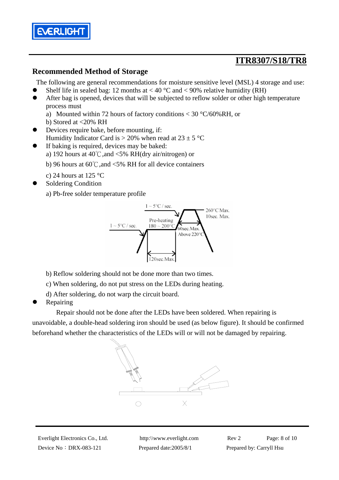

#### **Recommended Method of Storage**

The following are general recommendations for moisture sensitive level (MSL) 4 storage and use:

- Shelf life in sealed bag: 12 months at  $< 40 °C$  and  $< 90\%$  relative humidity (RH)
- After bag is opened, devices that will be subjected to reflow solder or other high temperature process must
	- a) Mounted within 72 hours of factory conditions < 30 °C/60%RH, or
	- b) Stored at <20% RH
- Devices require bake, before mounting, if: Humidity Indicator Card is  $> 20\%$  when read at  $23 \pm 5$  °C
- If baking is required, devices may be baked:
	- a) 192 hours at 40℃,and <5% RH(dry air/nitrogen) or

b) 96 hours at 60℃,and <5% RH for all device containers

- c) 24 hours at 125  $\degree$ C
- Soldering Condition

a) Pb-free solder temperature profile



- b) Reflow soldering should not be done more than two times.
- c) When soldering, do not put stress on the LEDs during heating.
- d) After soldering, do not warp the circuit board.
- Repairing

 Repair should not be done after the LEDs have been soldered. When repairing is unavoidable, a double-head soldering iron should be used (as below figure). It should be confirmed beforehand whether the characteristics of the LEDs will or will not be damaged by repairing.



Device No: DRX-083-121 Prepared date:2005/8/1 Prepared by: Carryll Hsu

Everlight Electronics Co., Ltd. http:\\www.everlight.com Rev 2 Page: 8 of 10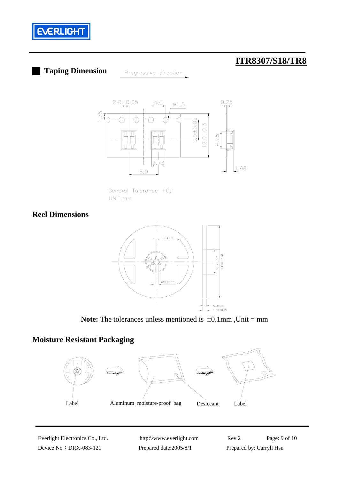

# █ **Taping Dimension**

Progressive direction



General Tolerance ±0.1 UNIT:mm

### **Reel Dimensions**



**Note:** The tolerances unless mentioned is  $\pm 0.1$ mm, Unit = mm

### **Moisture Resistant Packaging**



Device No: DRX-083-121 Prepared date:2005/8/1 Prepared by: Carryll Hsu

Everlight Electronics Co., Ltd. http:\\www.everlight.com Rev 2 Page: 9 of 10